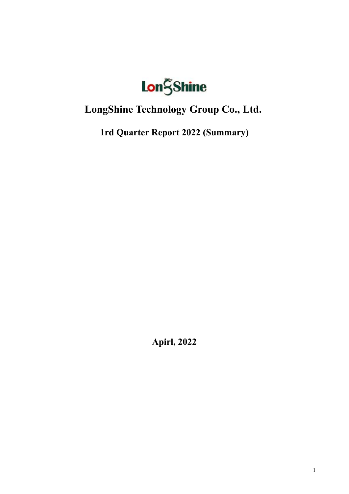

# **LongShine Technology Group Co., Ltd.**

**1rd Quarter Report 2022 (Summary)**

**Apirl, 2022**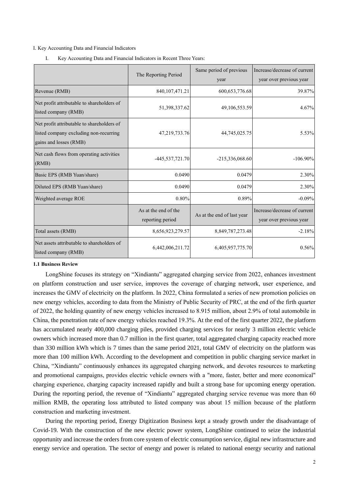#### I. Key Accounting Data and Financial Indicators

I. Key Accounting Data and Financial Indicators in Recent Three Years:

|                                                                                                                | The Reporting Period                     | Same period of previous<br>year | Increase/decrease of current<br>year over previous year |
|----------------------------------------------------------------------------------------------------------------|------------------------------------------|---------------------------------|---------------------------------------------------------|
| Revenue (RMB)                                                                                                  | 840, 107, 471. 21                        | 600, 653, 776. 68               | 39.87%                                                  |
| Net profit attributable to shareholders of<br>listed company (RMB)                                             | 51,398,337.62                            | 49,106,553.59                   | 4.67%                                                   |
| Net profit attributable to shareholders of<br>listed company excluding non-recurring<br>gains and losses (RMB) | 47,219,733.76                            | 44,745,025.75                   | 5.53%                                                   |
| Net cash flows from operating activities<br>(RMB)                                                              | $-445,537,721.70$                        | $-215,336,068.60$               | $-106.90\%$                                             |
| Basic EPS (RMB Yuan/share)                                                                                     | 0.0490                                   | 0.0479                          | 2.30%                                                   |
| Diluted EPS (RMB Yuan/share)                                                                                   | 0.0490                                   | 0.0479                          | 2.30%                                                   |
| Weighted average ROE                                                                                           | $0.80\%$                                 | 0.89%                           | $-0.09%$                                                |
|                                                                                                                | As at the end of the<br>reporting period | As at the end of last year      | Increase/decrease of current<br>year over previous year |
| Total assets (RMB)                                                                                             | 8,656,923,279.57                         | 8,849,787,273.48                | $-2.18%$                                                |
| Net assets attributable to shareholders of<br>listed company (RMB)                                             | 6,442,006,211.72                         | 6,405,957,775.70                | 0.56%                                                   |

#### **1.1 Business Review**

LongShine focuses its strategy on "Xindiantu" aggregated charging service from 2022, enhances investment on platform construction and user service, improves the coverage of charging network, user experience, and increases the GMV of electricity on the platform. In 2022, China formulated a series of new promotion policies on new energy vehicles, according to data from the Ministry of Public Security of PRC, at the end of the firth quarter of 2022, the holding quantity of new energy vehicles increased to 8.915 million, about 2.9% of total automobile in China, the penetration rate of new energy vehicles reached 19.3%. At the end of the first quarter 2022, the platform has accumulated nearly 400,000 charging piles, provided charging services for nearly 3 million electric vehicle owners which increased more than 0.7 million in the first quarter, total aggregated charging capacity reached more than 330 million kWh which is 7 times than the same period 2021, total GMV of electricity on the platform was more than 100 million kWh. According to the development and competition in public charging service market in China, "Xindiantu" continuously enhances its aggregated charging network, and devotes resources to marketing and promotional campaigns, provides electric vehicle owners with a "more, faster, better and more economical" charging experience, charging capacity increased rapidly and built a strong base for upcoming energy operation. During the reporting period, the revenue of "Xindiantu" aggregated charging service revenue was more than 60 million RMB, the operating loss attributed to listed company was about 15 million because of the platform construction and marketing investment.

During the reporting period, Energy Digitization Business kept a steady growth under the disadvantage of Covid-19. With the construction of the new electric power system, LongShine continued to seize the industrial opportunity and increase the orders from core system of electric consumption service, digital new infrastructure and energy service and operation. The sector of energy and power is related to national energy security and national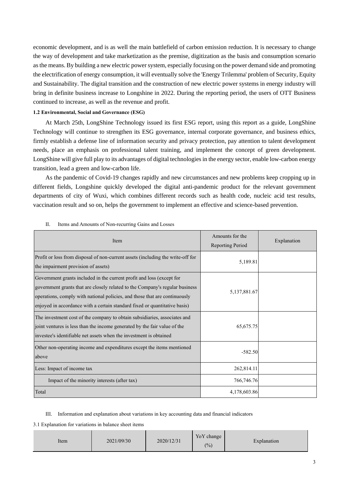economic development, and is as well the main battlefield of carbon emission reduction. It is necessary to change the way of development and take marketization as the premise, digitization as the basis and consumption scenario as the means. By building a new electric power system, especially focusing on the power demand side and promoting the electrification of energy consumption, it will eventually solve the 'Energy Trilemma' problem of Security, Equity and Sustainability. The digital transition and the construction of new electric power systems in energy industry will bring in definite business increase to Longshine in 2022. During the reporting period, the users of OTT Business continued to increase, as well as the revenue and profit.

### **1.2 Environmental, Social and Governance (ESG)**

At March 25th, LongShine Technology issued its first ESG report, using this report as a guide, LongShine Technology will continue to strengthen its ESG governance, internal corporate governance, and business ethics, firmly establish a defense line of information security and privacy protection, pay attention to talent development needs, place an emphasis on professional talent training, and implement the concept of green development. LongShine will give full play to its advantages of digital technologies in the energy sector, enable low-carbon energy transition, lead a green and low-carbon life.

As the pandemic of Covid-19 changes rapidly and new circumstances and new problems keep cropping up in different fields, Longshine quickly developed the digital anti-pandemic product for the relevant government departments of city of Wuxi, which combines different records such as health code, nucleic acid test results, vaccination result and so on, helps the government to implement an effective and science-based prevention.

| Item                                                                                                                                                                                                                                                                                                              | Amounts for the<br>Reporting Period | Explanation |
|-------------------------------------------------------------------------------------------------------------------------------------------------------------------------------------------------------------------------------------------------------------------------------------------------------------------|-------------------------------------|-------------|
| Profit or loss from disposal of non-current assets (including the write-off for<br>the impairment provision of assets)                                                                                                                                                                                            | 5,189.81                            |             |
| Government grants included in the current profit and loss (except for<br>government grants that are closely related to the Company's regular business<br>operations, comply with national policies, and those that are continuously<br>enjoyed in accordance with a certain standard fixed or quantitative basis) | 5,137,881.67                        |             |
| The investment cost of the company to obtain subsidiaries, associates and<br>joint ventures is less than the income generated by the fair value of the<br>investee's identifiable net assets when the investment is obtained                                                                                      | 65, 675. 75                         |             |
| Other non-operating income and expenditures except the items mentioned<br>above                                                                                                                                                                                                                                   | $-582.50$                           |             |
| Less: Impact of income tax                                                                                                                                                                                                                                                                                        | 262,814.11                          |             |
| Impact of the minority interests (after tax)                                                                                                                                                                                                                                                                      | 766,746.76                          |             |
| Total                                                                                                                                                                                                                                                                                                             | 4,178,603.86                        |             |

#### II. Items and Amounts of Non-recurring Gains and Losses

III. Information and explanation about variations in key accounting data and financial indicators

3.1 Explanation for variations in balance sheet items

| 2021/09/30<br>Item | 2020/12/31 | YoY change<br>(%) | Explanation |
|--------------------|------------|-------------------|-------------|
|--------------------|------------|-------------------|-------------|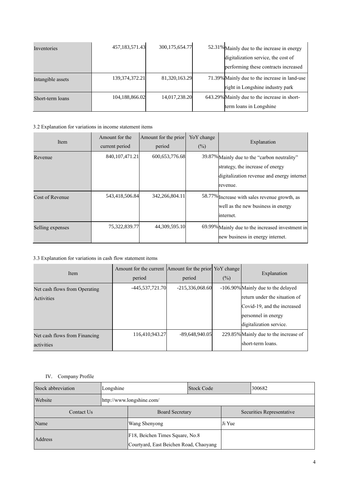| Inventories       | 457,183,571.43    | 300,175,654.77 | 52.31% Mainly due to the increase in energy                                 |
|-------------------|-------------------|----------------|-----------------------------------------------------------------------------|
|                   |                   |                | digitalization service, the cost of<br>performing these contracts increased |
| Intangible assets | 139, 374, 372. 21 | 81,320,163.29  | 71.39% Mainly due to the increase in land-use                               |
|                   |                   |                | right in Longshine industry park                                            |
| Short-term loans  | 104,188,866.02    | 14,017,238.20  | 643.29% Mainly due to the increase in short-                                |
|                   |                   |                | term loans in Longshine                                                     |

# 3.2 Explanation for variations in income statement items

| Item             | Amount for the    | Amount for the prior | Yo Y change |                                                                                                                                |
|------------------|-------------------|----------------------|-------------|--------------------------------------------------------------------------------------------------------------------------------|
|                  | current period    | period               | (%)         | Explanation                                                                                                                    |
| Revenue          | 840, 107, 471. 21 | 600,653,776.68       |             | 39.87% Mainly due to the "carbon neutrality"<br>strategy, the increase of energy<br>digitalization revenue and energy internet |
|                  |                   |                      |             | revenue.                                                                                                                       |
| Cost of Revenue  | 543,418,506.84    | 342,266,804.11       |             | 58.77% Increase with sales revenue growth, as<br>well as the new business in energy<br>internet.                               |
| Selling expenses | 75,322,839.77     | 44,309,595.10        |             | 69.99% Mainly due to the increased investment in<br>new business in energy internet.                                           |

# 3.3 Explanation for variations in cash flow statement items

| Item                          | Amount for the current Amount for the prior YoY change<br>period | period            | (%) | Explanation                           |
|-------------------------------|------------------------------------------------------------------|-------------------|-----|---------------------------------------|
| Net cash flows from Operating | -445,537,721.70                                                  | $-215,336,068.60$ |     | -106.90% Mainly due to the delayed    |
| Activities                    |                                                                  |                   |     | return under the situation of         |
|                               |                                                                  |                   |     | Covid-19, and the increased           |
|                               |                                                                  |                   |     | personnel in energy                   |
|                               |                                                                  |                   |     | digitalization service.               |
| Net cash flows from Financing | 116.410.943.27                                                   | $-89.648.940.05$  |     | 229.85% Mainly due to the increase of |
| activities                    |                                                                  |                   |     | short-term loans.                     |

## IV. Company Profile

| Stock abbreviation | Longshine | <b>Stock Code</b>                                                         |  |        | 300682 |
|--------------------|-----------|---------------------------------------------------------------------------|--|--------|--------|
| Website            |           | http://www.longshine.com/                                                 |  |        |        |
| Contact Us         |           | Securities Representative<br><b>Board Secretary</b>                       |  |        |        |
| Name               |           | Wang Shenyong                                                             |  | Ji Yue |        |
| Address            |           | F18, Beichen Times Square, No.8<br>Courtyard, East Beichen Road, Chaoyang |  |        |        |